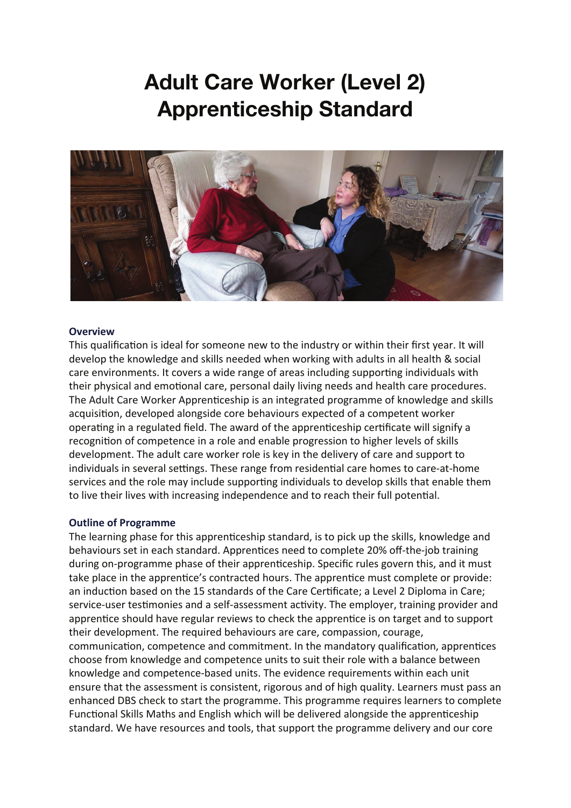# **Adult Care Worker (Level 2) Apprenticeship Standard**



#### **Overview**

This qualification is ideal for someone new to the industry or within their first year. It will develop the knowledge and skills needed when working with adults in all health & social care environments. It covers a wide range of areas including supporting individuals with their physical and emotional care, personal daily living needs and health care procedures. The Adult Care Worker Appren�ceship is an integrated programme of knowledge and skills acquisition, developed alongside core behaviours expected of a competent worker operating in a regulated field. The award of the apprenticeship certificate will signify a recognition of competence in a role and enable progression to higher levels of skills development. The adult care worker role is key in the delivery of care and support to individuals in several settings. These range from residential care homes to care-at-home services and the role may include supporting individuals to develop skills that enable them to live their lives with increasing independence and to reach their full potential.

#### **Outline of Programme**

The learning phase for this apprenticeship standard, is to pick up the skills, knowledge and behaviours set in each standard. Apprentices need to complete 20% off-the-job training during on-programme phase of their apprenticeship. Specific rules govern this, and it must take place in the apprentice's contracted hours. The apprentice must complete or provide: an induction based on the 15 standards of the Care Certificate; a Level 2 Diploma in Care; service-user testimonies and a self-assessment activity. The employer, training provider and apprentice should have regular reviews to check the apprentice is on target and to support their development. The required behaviours are care, compassion, courage, communication, competence and commitment. In the mandatory qualification, apprentices choose from knowledge and competence units to suit their role with a balance between knowledge and competence-based units. The evidence requirements within each unit ensure that the assessment is consistent, rigorous and of high quality. Learners must pass an enhanced DBS check to start the programme. This programme requires learners to complete Functional Skills Maths and English which will be delivered alongside the apprenticeship standard. We have resources and tools, that support the programme delivery and our core